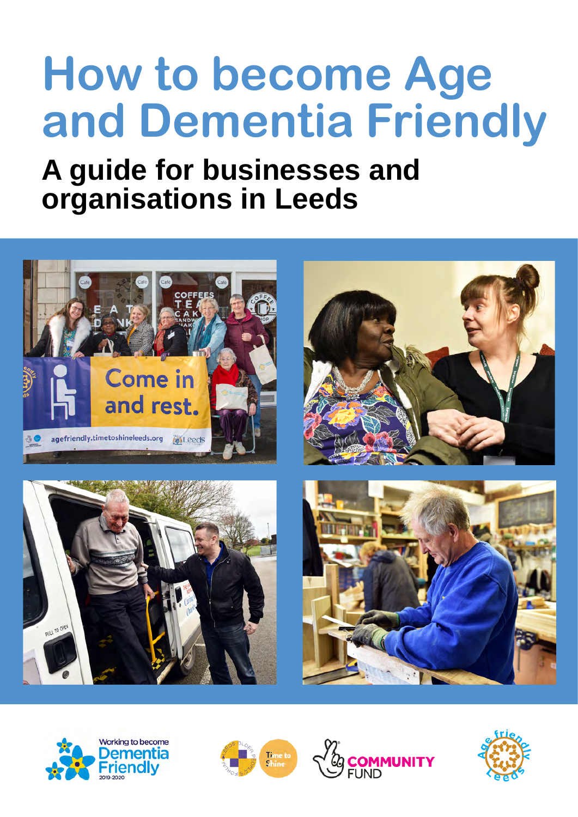# **How to become Age and Dementia Friendly**

# **A guide for businesses and organisations in Leeds**









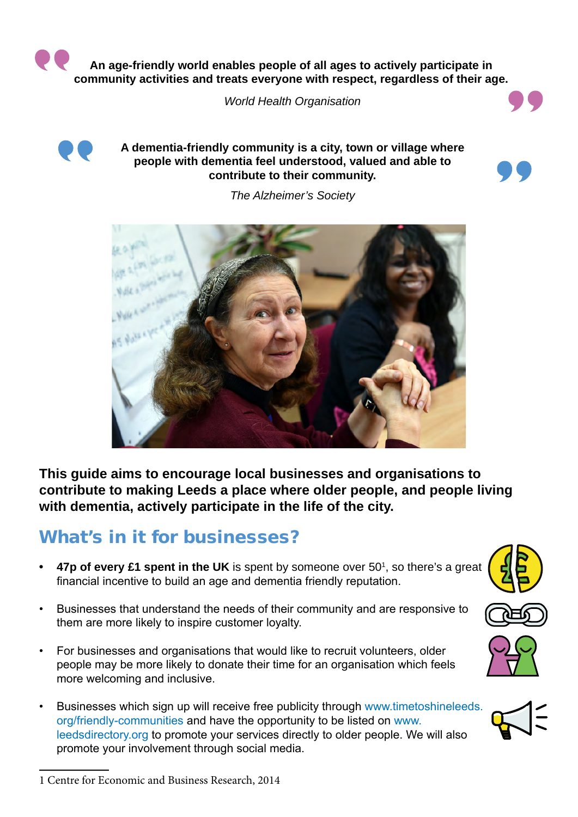**An age-friendly world enables people of all ages to actively participate in community activities and treats everyone with respect, regardless of their age.**

*World Health Organisation*



#### **A dementia-friendly community is a city, town or village where people with dementia feel understood, valued and able to contribute to their community.**



*The Alzheimer's Society*



**This guide aims to encourage local businesses and organisations to contribute to making Leeds a place where older people, and people living with dementia, actively participate in the life of the city.**

#### What's in it for businesses?

- 47p of every £1 spent in the UK is spent by someone over 50<sup>1</sup>, so there's a great financial incentive to build an age and dementia friendly reputation.
- Businesses that understand the needs of their community and are responsive to them are more likely to inspire customer loyalty.
- For businesses and organisations that would like to recruit volunteers, older people may be more likely to donate their time for an organisation which feels more welcoming and inclusive.
- Businesses which sign up will receive free publicity through [www.timetoshineleeds.](http://www.timetoshineleeds.org/friendly-communities) [org/friendly-communities](http://www.timetoshineleeds.org/friendly-communities) and have the opportunity to be listed on [www.](http://www.leedsdirectory.org) [leedsdirectory.org](http://www.leedsdirectory.org) to promote your services directly to older people. We will also promote your involvement through social media.









<sup>1</sup> Centre for Economic and Business Research, 2014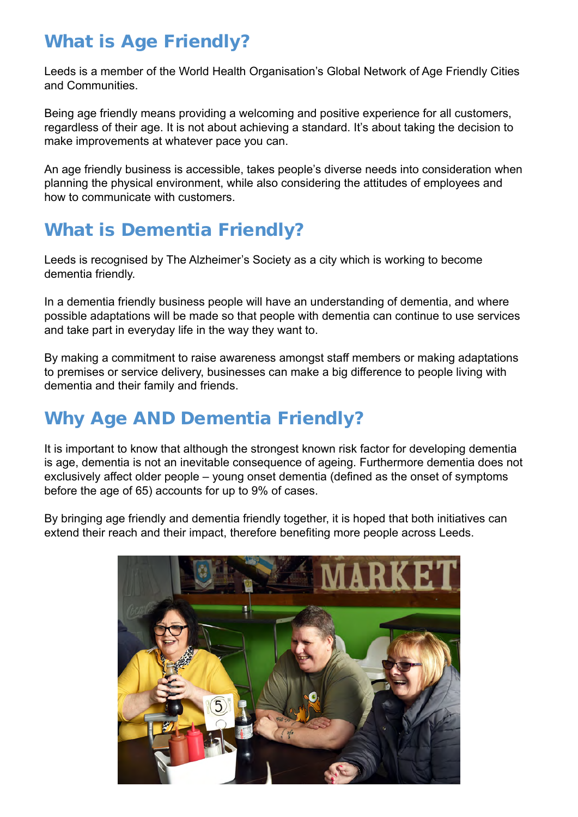#### What is Age Friendly?

Leeds is a member of the World Health Organisation's Global Network of Age Friendly Cities and Communities.

Being age friendly means providing a welcoming and positive experience for all customers, regardless of their age. It is not about achieving a standard. It's about taking the decision to make improvements at whatever pace you can.

An age friendly business is accessible, takes people's diverse needs into consideration when planning the physical environment, while also considering the attitudes of employees and how to communicate with customers.

#### What is Dementia Friendly?

Leeds is recognised by The Alzheimer's Society as a city which is working to become dementia friendly.

In a dementia friendly business people will have an understanding of dementia, and where possible adaptations will be made so that people with dementia can continue to use services and take part in everyday life in the way they want to.

By making a commitment to raise awareness amongst staff members or making adaptations to premises or service delivery, businesses can make a big difference to people living with dementia and their family and friends.

### Why Age AND Dementia Friendly?

It is important to know that although the strongest known risk factor for developing dementia is age, dementia is not an inevitable consequence of ageing. Furthermore dementia does not exclusively affect older people – young onset dementia (defined as the onset of symptoms before the age of 65) accounts for up to 9% of cases.

By bringing age friendly and dementia friendly together, it is hoped that both initiatives can extend their reach and their impact, therefore benefiting more people across Leeds.